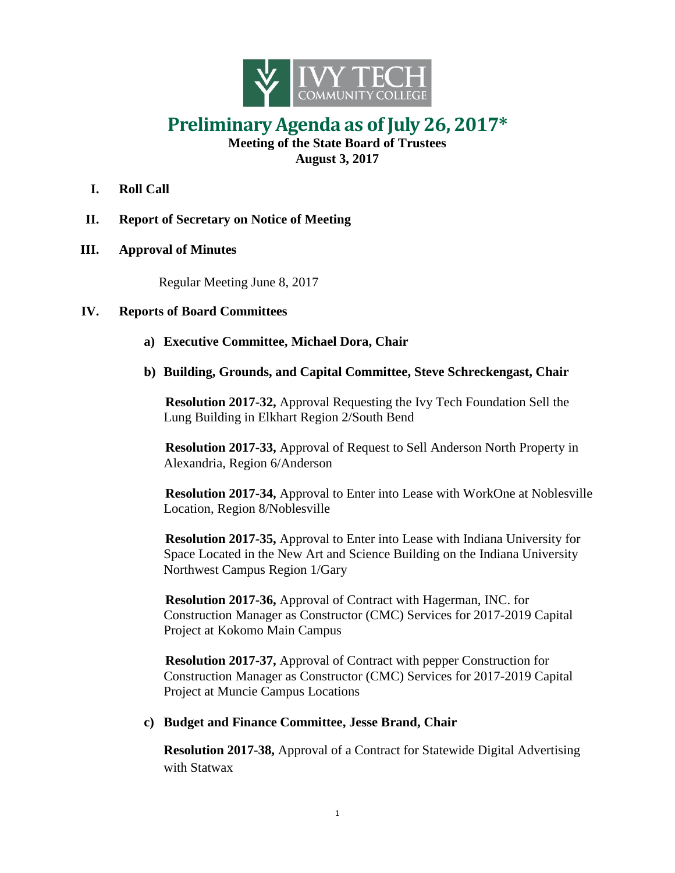

## **Preliminary Agenda as of July 26, 2017\***

**Meeting of the State Board of Trustees August 3, 2017**

- **I. Roll Call**
- **II. Report of Secretary on Notice of Meeting**
- **III. Approval of Minutes**

Regular Meeting June 8, 2017

## **IV. Reports of Board Committees**

- **a) Executive Committee, Michael Dora, Chair**
- **b) Building, Grounds, and Capital Committee, Steve Schreckengast, Chair**

**Resolution 2017-32,** Approval Requesting the Ivy Tech Foundation Sell the Lung Building in Elkhart Region 2/South Bend

**Resolution 2017-33,** Approval of Request to Sell Anderson North Property in Alexandria, Region 6/Anderson

**Resolution 2017-34,** Approval to Enter into Lease with WorkOne at Noblesville Location, Region 8/Noblesville

**Resolution 2017-35,** Approval to Enter into Lease with Indiana University for Space Located in the New Art and Science Building on the Indiana University Northwest Campus Region 1/Gary

**Resolution 2017-36,** Approval of Contract with Hagerman, INC. for Construction Manager as Constructor (CMC) Services for 2017-2019 Capital Project at Kokomo Main Campus

**Resolution 2017-37,** Approval of Contract with pepper Construction for Construction Manager as Constructor (CMC) Services for 2017-2019 Capital Project at Muncie Campus Locations

## **c) Budget and Finance Committee, Jesse Brand, Chair**

**Resolution 2017-38,** Approval of a Contract for Statewide Digital Advertising with Statwax